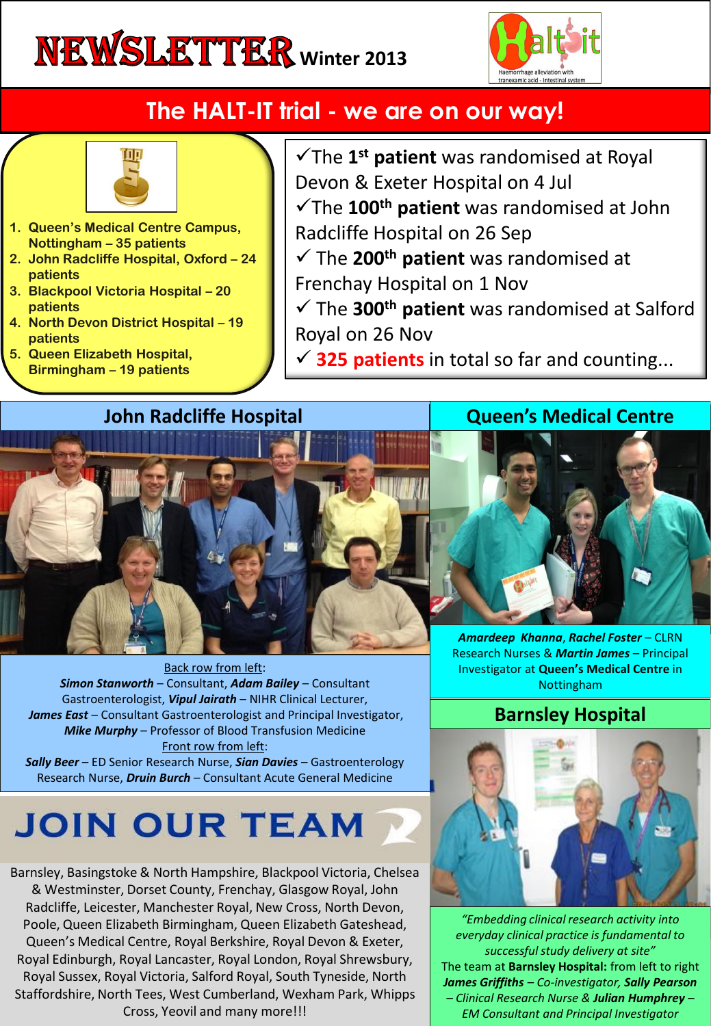# **NEWSLETTER** Winter 2013



# **The HALT-IT trial - we are on our way!**



- **1. Queen's Medical Centre Campus, Nottingham – 35 patients**
- **2. John Radcliffe Hospital, Oxford – 24 patients**
- **3. Blackpool Victoria Hospital – 20 patients**
- **4. North Devon District Hospital – 19 patients**
- **5. Queen Elizabeth Hospital, Birmingham – 19 patients**
- The **1 st patient** was randomised at Royal Devon & Exeter Hospital on 4 Jul The **100th patient** was randomised at John Radcliffe Hospital on 26 Sep
- The **200th patient** was randomised at Frenchay Hospital on 1 Nov
- The **300th patient** was randomised at Salford Royal on 26 Nov
- **325 patients** in total so far and counting...

#### **John Radcliffe Hospital**

#### **Queen's Medical Centre**



Gastroenterologist, *Vipul Jairath* – NIHR Clinical Lecturer, James East – Consultant Gastroenterologist and Principal Investigator, *Mike Murphy* – Professor of Blood Transfusion Medicine Front row from left: *Sally Beer* – ED Senior Research Nurse, *Sian Davies* – Gastroenterology

Research Nurse, *Druin Burch* – Consultant Acute General Medicine

# **JOIN OUR TEAM**

Barnsley, Basingstoke & North Hampshire, Blackpool Victoria, Chelsea & Westminster, Dorset County, Frenchay, Glasgow Royal, John Radcliffe, Leicester, Manchester Royal, New Cross, North Devon, Poole, Queen Elizabeth Birmingham, Queen Elizabeth Gateshead, Queen's Medical Centre, Royal Berkshire, Royal Devon & Exeter, Royal Edinburgh, Royal Lancaster, Royal London, Royal Shrewsbury, Royal Sussex, Royal Victoria, Salford Royal, South Tyneside, North Staffordshire, North Tees, West Cumberland, Wexham Park, Whipps Cross, Yeovil and many more!!!

*Amardeep Khanna*, *Rachel Foster* – CLRN Research Nurses & *Martin James* – Principal Investigator at **Queen's Medical Centre** in Nottingham

### **Barnsley Hospital**



*"Embedding clinical research activity into everyday clinical practice is fundamental to successful study delivery at site"* The team at **Barnsley Hospital:** from left to right *James Griffiths – Co-investigator, Sally Pearson – Clinical Research Nurse & Julian Humphrey – EM Consultant and Principal Investigator*